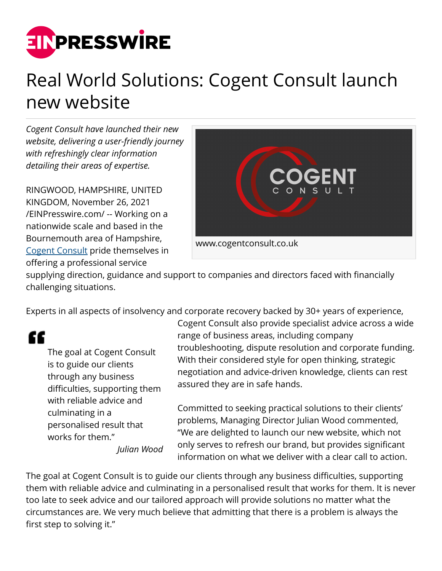

## Real World Solutions: Cogent Consult launch new website

*Cogent Consult have launched their new website, delivering a user-friendly journey with refreshingly clear information detailing their areas of expertise.* 

RINGWOOD, HAMPSHIRE, UNITED KINGDOM, November 26, 2021 [/EINPresswire.com/](http://www.einpresswire.com) -- Working on a nationwide scale and based in the Bournemouth area of Hampshire, [Cogent Consult](http://www.cogentconsult.co.uk) pride themselves in offering a professional service



supplying direction, guidance and support to companies and directors faced with financially challenging situations.

Experts in all aspects of insolvency and corporate recovery backed by 30+ years of experience,

## "

The goal at Cogent Consult is to guide our clients through any business difficulties, supporting them with reliable advice and culminating in a personalised result that works for them." *Julian Wood*

Cogent Consult also provide specialist advice across a wide range of business areas, including company troubleshooting, dispute resolution and corporate funding. With their considered style for open thinking, strategic negotiation and advice-driven knowledge, clients can rest assured they are in safe hands.

Committed to seeking practical solutions to their clients' problems, Managing Director Julian Wood commented, "We are delighted to launch our new website, which not only serves to refresh our brand, but provides significant information on what we deliver with a clear call to action.

The goal at Cogent Consult is to guide our clients through any business difficulties, supporting them with reliable advice and culminating in a personalised result that works for them. It is never too late to seek advice and our tailored approach will provide solutions no matter what the circumstances are. We very much believe that admitting that there is a problem is always the first step to solving it."